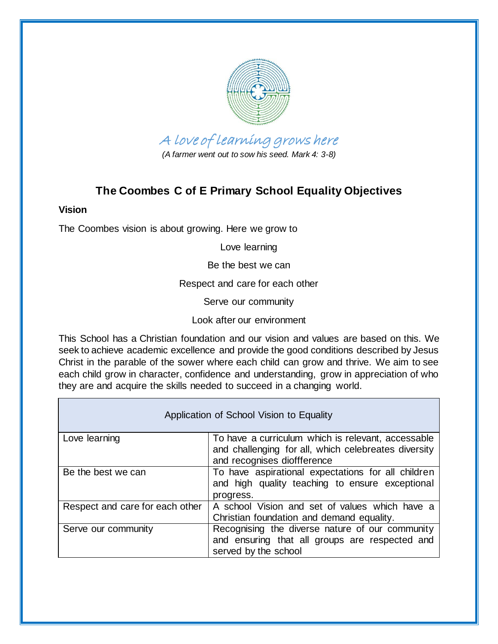

A love of learning grows here

*(A farmer went out to sow his seed. Mark 4: 3-8)*

# **The Coombes C of E Primary School Equality Objectives**

### **Vision**

The Coombes vision is about growing. Here we grow to

Love learning

Be the best we can

Respect and care for each other

Serve our community

Look after our environment

This School has a Christian foundation and our vision and values are based on this. We seek to achieve academic excellence and provide the good conditions described by Jesus Christ in the parable of the sower where each child can grow and thrive. We aim to see each child grow in character, confidence and understanding, grow in appreciation of who they are and acquire the skills needed to succeed in a changing world.

| Application of School Vision to Equality |                                                                                                                           |  |
|------------------------------------------|---------------------------------------------------------------------------------------------------------------------------|--|
| Love learning                            | To have a curriculum which is relevant, accessable<br>and challenging for all, which celebreates diversity                |  |
|                                          | and recognises dioffference                                                                                               |  |
| Be the best we can                       | To have aspirational expectations for all children<br>and high quality teaching to ensure exceptional<br>progress.        |  |
| Respect and care for each other          | A school Vision and set of values which have a<br>Christian foundation and demand equality.                               |  |
| Serve our community                      | Recognising the diverse nature of our community<br>and ensuring that all groups are respected and<br>served by the school |  |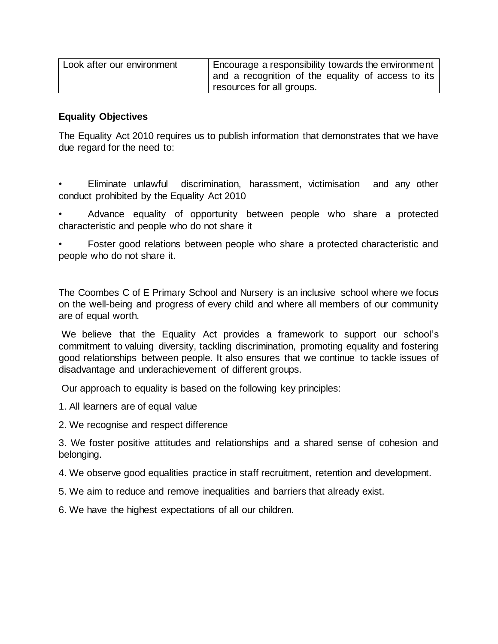| Look after our environment | Encourage a responsibility towards the environment |  |  |
|----------------------------|----------------------------------------------------|--|--|
|                            | and a recognition of the equality of access to its |  |  |
|                            | resources for all groups.                          |  |  |

### **Equality Objectives**

The Equality Act 2010 requires us to publish information that demonstrates that we have due regard for the need to:

• Eliminate unlawful discrimination, harassment, victimisation and any other conduct prohibited by the Equality Act 2010

• Advance equality of opportunity between people who share a protected characteristic and people who do not share it

• Foster good relations between people who share a protected characteristic and people who do not share it.

The Coombes C of E Primary School and Nursery is an inclusive school where we focus on the well-being and progress of every child and where all members of our community are of equal worth.

We believe that the Equality Act provides a framework to support our school's commitment to valuing diversity, tackling discrimination, promoting equality and fostering good relationships between people. It also ensures that we continue to tackle issues of disadvantage and underachievement of different groups.

Our approach to equality is based on the following key principles:

1. All learners are of equal value

2. We recognise and respect difference

3. We foster positive attitudes and relationships and a shared sense of cohesion and belonging.

4. We observe good equalities practice in staff recruitment, retention and development.

- 5. We aim to reduce and remove inequalities and barriers that already exist.
- 6. We have the highest expectations of all our children.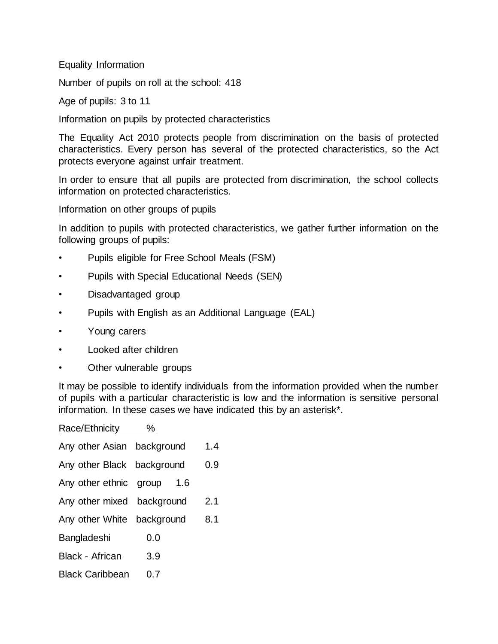### Equality Information

Number of pupils on roll at the school: 418

Age of pupils: 3 to 11

Information on pupils by protected characteristics

The Equality Act 2010 protects people from discrimination on the basis of protected characteristics. Every person has several of the protected characteristics, so the Act protects everyone against unfair treatment.

In order to ensure that all pupils are protected from discrimination, the school collects information on protected characteristics.

### Information on other groups of pupils

In addition to pupils with protected characteristics, we gather further information on the following groups of pupils:

- Pupils eligible for Free School Meals (FSM)
- Pupils with Special Educational Needs (SEN)
- Disadvantaged group
- Pupils with English as an Additional Language (EAL)
- Young carers
- Looked after children
- Other vulnerable groups

It may be possible to identify individuals from the information provided when the number of pupils with a particular characteristic is low and the information is sensitive personal information. In these cases we have indicated this by an asterisk\*.

| Any other Asian background      | 1.4 |
|---------------------------------|-----|
| Any other Black background      | 0.9 |
| Any other ethnic group<br>- 1.6 |     |
| Any other mixed background      | 2.1 |
| Any other White background      | 8.1 |
| 0.0                             |     |
| 3.9                             |     |
| 0.7                             |     |
|                                 | %   |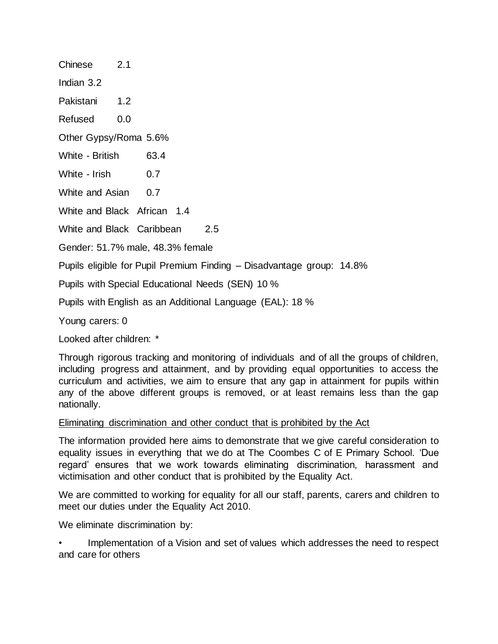Chinese 2.1 Indian 3.2 Pakistani 1.2 Refused 0.0 Other Gypsy/Roma 5.6% White - British 63.4 White - Irish 0.7 White and Asian 0.7 White and Black African 1.4 White and Black Caribbean 2.5 Gender: 51.7% male, 48.3% female Pupils eligible for Pupil Premium Finding – Disadvantage group: 14.8% Pupils with Special Educational Needs (SEN) 10 %

Pupils with English as an Additional Language (EAL): 18 %

Young carers: 0

Looked after children: \*

Through rigorous tracking and monitoring of individuals and of all the groups of children, including progress and attainment, and by providing equal opportunities to access the curriculum and activities, we aim to ensure that any gap in attainment for pupils within any of the above different groups is removed, or at least remains less than the gap nationally.

### Eliminating discrimination and other conduct that is prohibited by the Act

The information provided here aims to demonstrate that we give careful consideration to equality issues in everything that we do at The Coombes C of E Primary School. 'Due regard' ensures that we work towards eliminating discrimination, harassment and victimisation and other conduct that is prohibited by the Equality Act.

We are committed to working for equality for all our staff, parents, carers and children to meet our duties under the Equality Act 2010.

We eliminate discrimination by:

• Implementation of a Vision and set of values which addresses the need to respect and care for others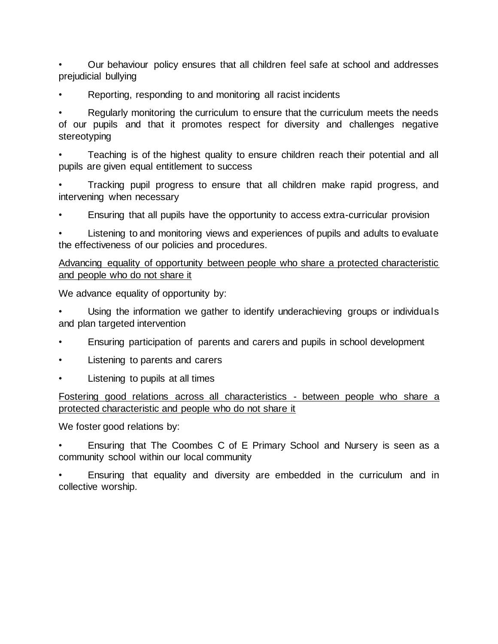• Our behaviour policy ensures that all children feel safe at school and addresses prejudicial bullying

• Reporting, responding to and monitoring all racist incidents

• Regularly monitoring the curriculum to ensure that the curriculum meets the needs of our pupils and that it promotes respect for diversity and challenges negative stereotyping

• Teaching is of the highest quality to ensure children reach their potential and all pupils are given equal entitlement to success

• Tracking pupil progress to ensure that all children make rapid progress, and intervening when necessary

• Ensuring that all pupils have the opportunity to access extra-curricular provision

• Listening to and monitoring views and experiences of pupils and adults to evaluate the effectiveness of our policies and procedures.

## Advancing equality of opportunity between people who share a protected characteristic and people who do not share it

We advance equality of opportunity by:

Using the information we gather to identify underachieving groups or individuals and plan targeted intervention

- Ensuring participation of parents and carers and pupils in school development
- Listening to parents and carers
- Listening to pupils at all times

Fostering good relations across all characteristics - between people who share a protected characteristic and people who do not share it

We foster good relations by:

• Ensuring that The Coombes C of E Primary School and Nursery is seen as a community school within our local community

• Ensuring that equality and diversity are embedded in the curriculum and in collective worship.